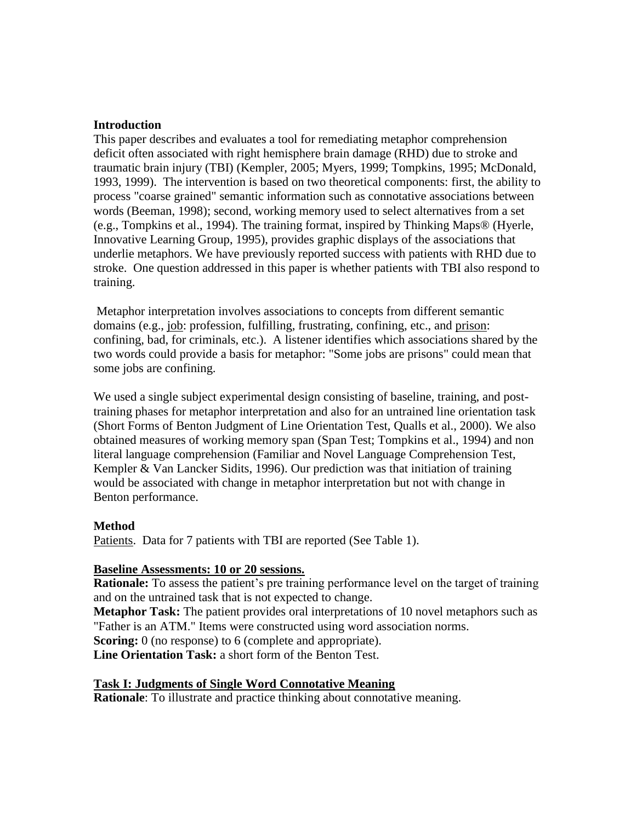#### **Introduction**

This paper describes and evaluates a tool for remediating metaphor comprehension deficit often associated with right hemisphere brain damage (RHD) due to stroke and traumatic brain injury (TBI) (Kempler, 2005; Myers, 1999; Tompkins, 1995; McDonald, 1993, 1999). The intervention is based on two theoretical components: first, the ability to process "coarse grained" semantic information such as connotative associations between words (Beeman, 1998); second, working memory used to select alternatives from a set (e.g., Tompkins et al., 1994). The training format, inspired by Thinking Maps® (Hyerle, Innovative Learning Group, 1995), provides graphic displays of the associations that underlie metaphors. We have previously reported success with patients with RHD due to stroke. One question addressed in this paper is whether patients with TBI also respond to training.

Metaphor interpretation involves associations to concepts from different semantic domains (e.g., job: profession, fulfilling, frustrating, confining, etc., and prison: confining, bad, for criminals, etc.). A listener identifies which associations shared by the two words could provide a basis for metaphor: "Some jobs are prisons" could mean that some jobs are confining.

We used a single subject experimental design consisting of baseline, training, and posttraining phases for metaphor interpretation and also for an untrained line orientation task (Short Forms of Benton Judgment of Line Orientation Test, Qualls et al., 2000). We also obtained measures of working memory span (Span Test; Tompkins et al., 1994) and non literal language comprehension (Familiar and Novel Language Comprehension Test, Kempler & Van Lancker Sidits, 1996). Our prediction was that initiation of training would be associated with change in metaphor interpretation but not with change in Benton performance.

#### **Method**

Patients. Data for 7 patients with TBI are reported (See Table 1).

#### **Baseline Assessments: 10 or 20 sessions.**

**Rationale:** To assess the patient's pre training performance level on the target of training and on the untrained task that is not expected to change.

**Metaphor Task:** The patient provides oral interpretations of 10 novel metaphors such as "Father is an ATM." Items were constructed using word association norms.

**Scoring:** 0 (no response) to 6 (complete and appropriate).

**Line Orientation Task:** a short form of the Benton Test.

#### **Task I: Judgments of Single Word Connotative Meaning**

**Rationale**: To illustrate and practice thinking about connotative meaning.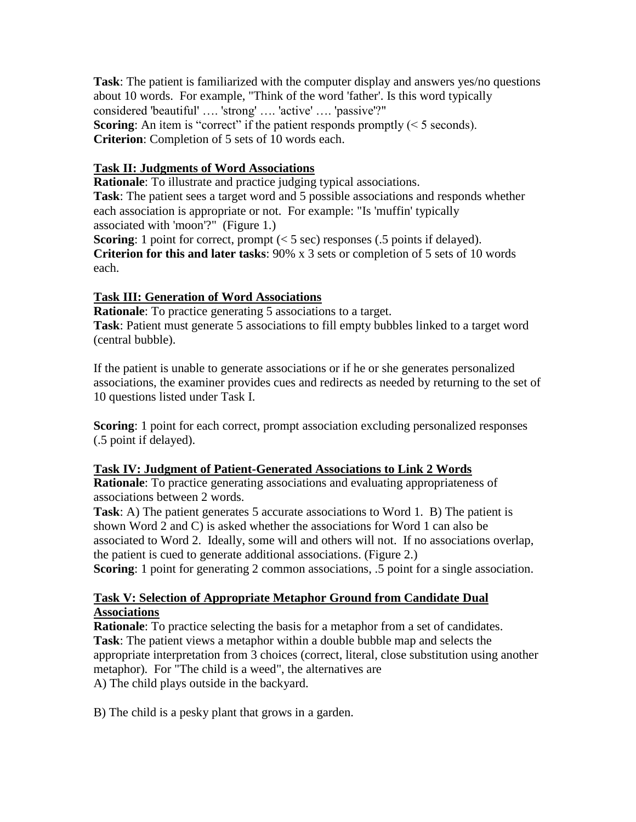**Task**: The patient is familiarized with the computer display and answers yes/no questions about 10 words. For example, "Think of the word 'father'. Is this word typically considered 'beautiful' …. 'strong' …. 'active' …. 'passive'?" **Scoring:** An item is "correct" if the patient responds promptly  $(< 5$  seconds). **Criterion**: Completion of 5 sets of 10 words each.

## **Task II: Judgments of Word Associations**

**Rationale**: To illustrate and practice judging typical associations. **Task**: The patient sees a target word and 5 possible associations and responds whether each association is appropriate or not. For example: "Is 'muffin' typically associated with 'moon'?" (Figure 1.)

**Scoring**: 1 point for correct, prompt (< 5 sec) responses (.5 points if delayed). **Criterion for this and later tasks**: 90% x 3 sets or completion of 5 sets of 10 words each.

## **Task III: Generation of Word Associations**

**Rationale:** To practice generating 5 associations to a target. **Task**: Patient must generate 5 associations to fill empty bubbles linked to a target word (central bubble).

If the patient is unable to generate associations or if he or she generates personalized associations, the examiner provides cues and redirects as needed by returning to the set of 10 questions listed under Task I.

**Scoring**: 1 point for each correct, prompt association excluding personalized responses (.5 point if delayed).

## **Task IV: Judgment of Patient-Generated Associations to Link 2 Words**

**Rationale**: To practice generating associations and evaluating appropriateness of associations between 2 words.

**Task**: A) The patient generates 5 accurate associations to Word 1. B) The patient is shown Word 2 and C) is asked whether the associations for Word 1 can also be associated to Word 2. Ideally, some will and others will not. If no associations overlap, the patient is cued to generate additional associations. (Figure 2.)

**Scoring**: 1 point for generating 2 common associations, .5 point for a single association.

## **Task V: Selection of Appropriate Metaphor Ground from Candidate Dual Associations**

**Rationale**: To practice selecting the basis for a metaphor from a set of candidates. **Task**: The patient views a metaphor within a double bubble map and selects the appropriate interpretation from 3 choices (correct, literal, close substitution using another metaphor). For "The child is a weed", the alternatives are A) The child plays outside in the backyard.

B) The child is a pesky plant that grows in a garden.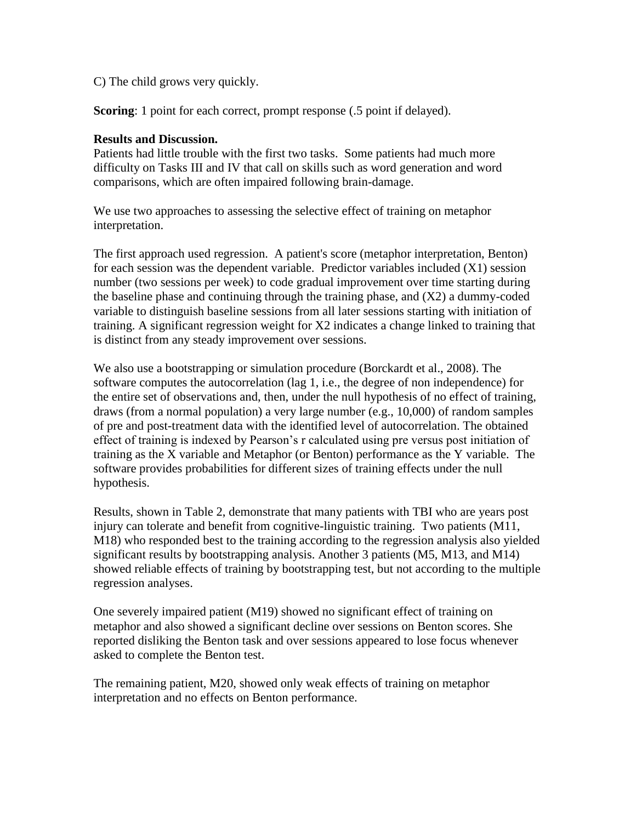C) The child grows very quickly.

**Scoring**: 1 point for each correct, prompt response (.5 point if delayed).

#### **Results and Discussion.**

Patients had little trouble with the first two tasks. Some patients had much more difficulty on Tasks III and IV that call on skills such as word generation and word comparisons, which are often impaired following brain-damage.

We use two approaches to assessing the selective effect of training on metaphor interpretation.

The first approach used regression. A patient's score (metaphor interpretation, Benton) for each session was the dependent variable. Predictor variables included (X1) session number (two sessions per week) to code gradual improvement over time starting during the baseline phase and continuing through the training phase, and (X2) a dummy-coded variable to distinguish baseline sessions from all later sessions starting with initiation of training. A significant regression weight for X2 indicates a change linked to training that is distinct from any steady improvement over sessions.

We also use a bootstrapping or simulation procedure (Borckardt et al., 2008). The software computes the autocorrelation (lag 1, i.e., the degree of non independence) for the entire set of observations and, then, under the null hypothesis of no effect of training, draws (from a normal population) a very large number (e.g., 10,000) of random samples of pre and post-treatment data with the identified level of autocorrelation. The obtained effect of training is indexed by Pearson's r calculated using pre versus post initiation of training as the X variable and Metaphor (or Benton) performance as the Y variable. The software provides probabilities for different sizes of training effects under the null hypothesis.

Results, shown in Table 2, demonstrate that many patients with TBI who are years post injury can tolerate and benefit from cognitive-linguistic training. Two patients (M11, M18) who responded best to the training according to the regression analysis also yielded significant results by bootstrapping analysis. Another 3 patients (M5, M13, and M14) showed reliable effects of training by bootstrapping test, but not according to the multiple regression analyses.

One severely impaired patient (M19) showed no significant effect of training on metaphor and also showed a significant decline over sessions on Benton scores. She reported disliking the Benton task and over sessions appeared to lose focus whenever asked to complete the Benton test.

The remaining patient, M20, showed only weak effects of training on metaphor interpretation and no effects on Benton performance.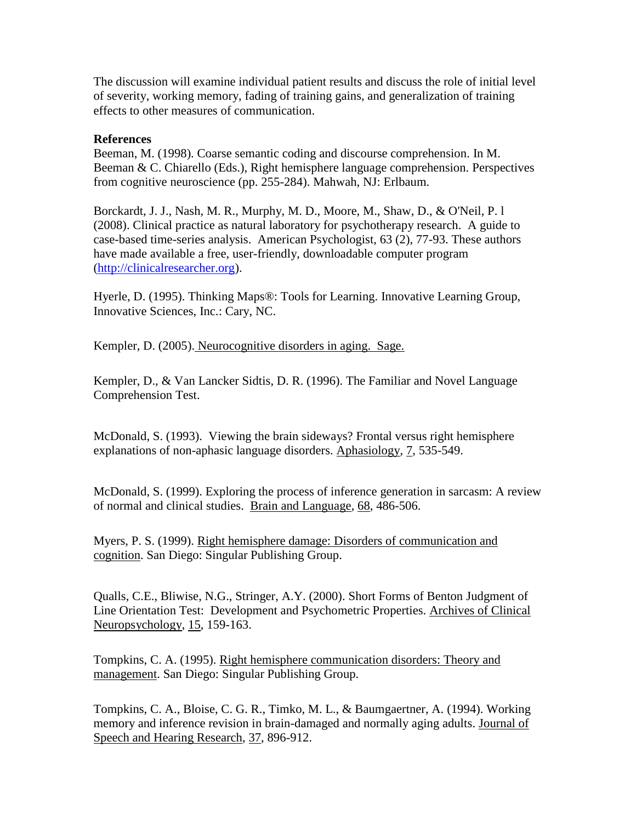The discussion will examine individual patient results and discuss the role of initial level of severity, working memory, fading of training gains, and generalization of training effects to other measures of communication.

### **References**

Beeman, M. (1998). Coarse semantic coding and discourse comprehension. In M. Beeman & C. Chiarello (Eds.), Right hemisphere language comprehension. Perspectives from cognitive neuroscience (pp. 255-284). Mahwah, NJ: Erlbaum.

Borckardt, J. J., Nash, M. R., Murphy, M. D., Moore, M., Shaw, D., & O'Neil, P. l (2008). Clinical practice as natural laboratory for psychotherapy research. A guide to case-based time-series analysis. American Psychologist, 63 (2), 77-93. These authors have made available a free, user-friendly, downloadable computer program [\(http://clinicalresearcher.org\)](http://clinicalresearcher.org/).

Hyerle, D. (1995). Thinking Maps®: Tools for Learning. Innovative Learning Group, Innovative Sciences, Inc.: Cary, NC.

Kempler, D. (2005). Neurocognitive disorders in aging. Sage.

Kempler, D., & Van Lancker Sidtis, D. R. (1996). The Familiar and Novel Language Comprehension Test.

McDonald, S. (1993). Viewing the brain sideways? Frontal versus right hemisphere explanations of non-aphasic language disorders. Aphasiology, 7, 535-549.

McDonald, S. (1999). Exploring the process of inference generation in sarcasm: A review of normal and clinical studies. Brain and Language, 68, 486-506.

Myers, P. S. (1999). Right hemisphere damage: Disorders of communication and cognition. San Diego: Singular Publishing Group.

Qualls, C.E., Bliwise, N.G., Stringer, A.Y. (2000). Short Forms of Benton Judgment of Line Orientation Test: Development and Psychometric Properties. Archives of Clinical Neuropsychology, 15, 159-163.

Tompkins, C. A. (1995). Right hemisphere communication disorders: Theory and management. San Diego: Singular Publishing Group.

Tompkins, C. A., Bloise, C. G. R., Timko, M. L., & Baumgaertner, A. (1994). Working memory and inference revision in brain-damaged and normally aging adults. Journal of Speech and Hearing Research, 37, 896-912.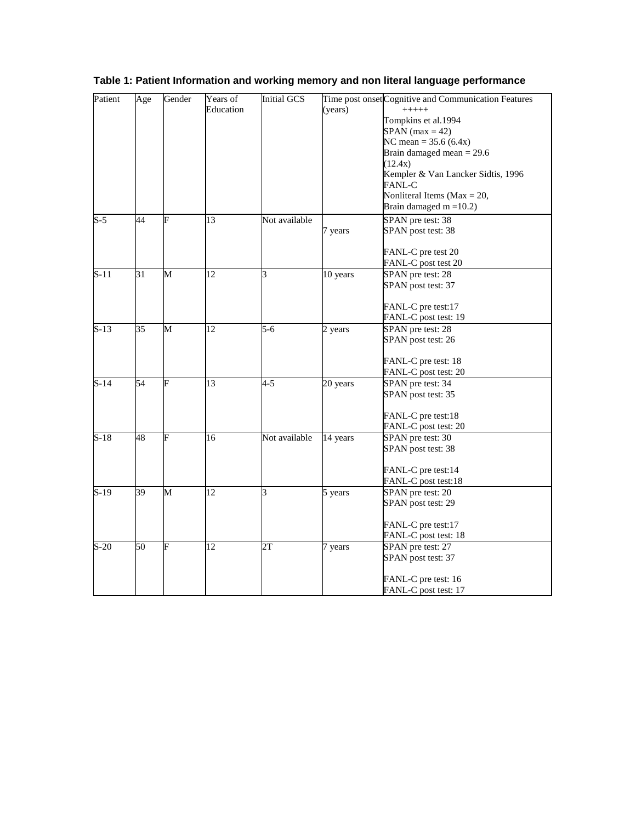| Patient | Age             | Gender | Years of  | <b>Initial GCS</b> |          | Time post onset Cognitive and Communication Features |
|---------|-----------------|--------|-----------|--------------------|----------|------------------------------------------------------|
|         |                 |        | Education |                    | (years)  | $+++++$                                              |
|         |                 |        |           |                    |          | Tompkins et al.1994                                  |
|         |                 |        |           |                    |          | $SPAN$ (max = 42)                                    |
|         |                 |        |           |                    |          | NC mean = $35.6(6.4x)$                               |
|         |                 |        |           |                    |          | Brain damaged mean $= 29.6$                          |
|         |                 |        |           |                    |          | (12.4x)                                              |
|         |                 |        |           |                    |          | Kempler & Van Lancker Sidtis, 1996<br>FANL-C         |
|         |                 |        |           |                    |          | Nonliteral Items ( $Max = 20$ ,                      |
|         |                 |        |           |                    |          | Brain damaged $m = 10.2$ )                           |
| $S-5$   | 44              | F      | 13        | Not available      |          | SPAN pre test: 38                                    |
|         |                 |        |           |                    | 7 years  | SPAN post test: 38                                   |
|         |                 |        |           |                    |          |                                                      |
|         |                 |        |           |                    |          | FANL-C pre test 20                                   |
|         |                 |        |           |                    |          | FANL-C post test 20                                  |
| $S-11$  | 31              | M      | 12        | 3                  | 10 years | SPAN pre test: 28                                    |
|         |                 |        |           |                    |          | SPAN post test: 37                                   |
|         |                 |        |           |                    |          |                                                      |
|         |                 |        |           |                    |          | FANL-C pre test:17                                   |
|         |                 |        |           |                    |          | FANL-C post test: 19                                 |
| $S-13$  | $\overline{35}$ | М      | 12        | $5-6$              | 2 years  | SPAN pre test: 28                                    |
|         |                 |        |           |                    |          | SPAN post test: 26                                   |
|         |                 |        |           |                    |          |                                                      |
|         |                 |        |           |                    |          | FANL-C pre test: 18                                  |
|         |                 |        |           |                    |          | FANL-C post test: 20                                 |
| $S-14$  | 54              | F      | 13        | $4 - 5$            | 20 years | SPAN pre test: 34                                    |
|         |                 |        |           |                    |          | SPAN post test: 35                                   |
|         |                 |        |           |                    |          |                                                      |
|         |                 |        |           |                    |          | FANL-C pre test:18                                   |
|         |                 |        |           |                    |          | FANL-C post test: 20                                 |
| $S-18$  | 48              | F      | 16        | Not available      | 14 years | SPAN pre test: 30                                    |
|         |                 |        |           |                    |          | SPAN post test: 38                                   |
|         |                 |        |           |                    |          |                                                      |
|         |                 |        |           |                    |          | FANL-C pre test:14                                   |
|         |                 |        |           |                    |          | FANL-C post test:18                                  |
| $S-19$  | 39              | M      | 12        | 3                  | 5 years  | SPAN pre test: 20                                    |
|         |                 |        |           |                    |          | SPAN post test: 29                                   |
|         |                 |        |           |                    |          |                                                      |
|         |                 |        |           |                    |          | FANL-C pre test:17                                   |
|         |                 |        |           |                    |          | FANL-C post test: 18                                 |
| $S-20$  | 50              | F      | 12        | 2T                 | 7 years  | SPAN pre test: 27                                    |
|         |                 |        |           |                    |          | SPAN post test: 37                                   |
|         |                 |        |           |                    |          |                                                      |
|         |                 |        |           |                    |          | FANL-C pre test: 16                                  |
|         |                 |        |           |                    |          | FANL-C post test: 17                                 |

# **Table 1: Patient Information and working memory and non literal language performance**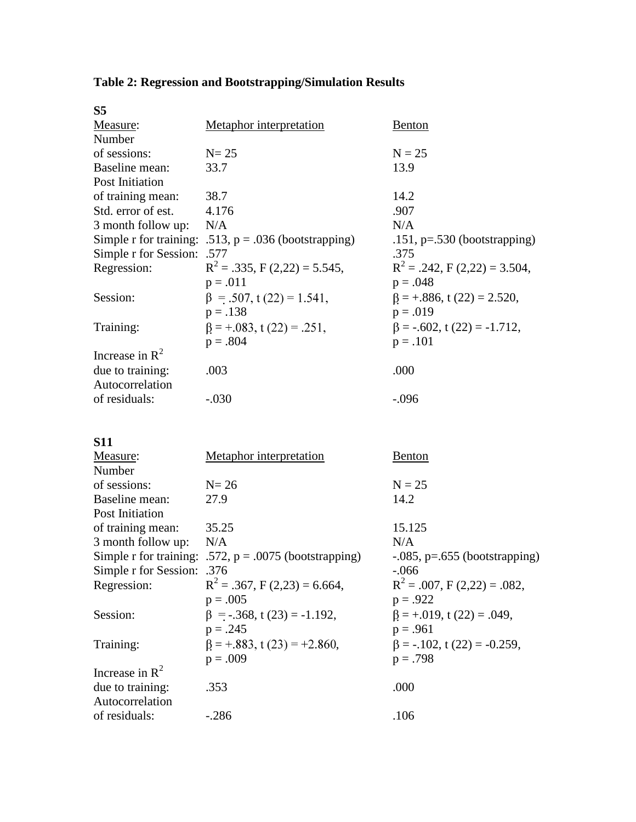| S <sub>5</sub>             |                                                         |                                    |
|----------------------------|---------------------------------------------------------|------------------------------------|
| Measure:                   | Metaphor interpretation                                 | Benton                             |
| Number                     |                                                         |                                    |
| of sessions:               | $N = 25$                                                | $N = 25$                           |
| Baseline mean:             | 33.7                                                    | 13.9                               |
| Post Initiation            |                                                         |                                    |
| of training mean:          | 38.7                                                    | 14.2                               |
| Std. error of est.         | 4.176                                                   | .907                               |
| 3 month follow up:         | N/A                                                     | N/A                                |
|                            | Simple r for training: .513, $p = .036$ (bootstrapping) | .151, $p=.530$ (bootstrapping)     |
| Simple r for Session: .577 |                                                         | .375                               |
| Regression:                | $R^2$ = .335, F (2,22) = 5.545,                         | $R^2 = .242$ , F (2,22) = 3.504,   |
|                            | $p = .011$                                              | $p = .048$                         |
| Session:                   | $\beta = .507$ , t (22) = 1.541,                        | $\beta = +0.886$ , t (22) = 2.520, |
|                            | $p = .138$                                              | $p = .019$                         |
| Training:                  | $\beta = +0.083$ , t (22) = .251,                       | $\beta = -.602$ , t (22) = -1.712, |
|                            | $p = .804$                                              | $p = .101$                         |
| Increase in $R^2$          |                                                         |                                    |
| due to training:           | .003                                                    | .000                               |
| Autocorrelation            |                                                         |                                    |
| of residuals:              | $-.030$                                                 | $-.096$                            |
|                            |                                                         |                                    |

# **Table 2: Regression and Bootstrapping/Simulation Results**

**S11** 

| Measure:                   | <b>Metaphor</b> interpretation                           | Benton                             |
|----------------------------|----------------------------------------------------------|------------------------------------|
| Number                     |                                                          |                                    |
| of sessions:               | $N=26$                                                   | $N = 25$                           |
| Baseline mean:             | 27.9                                                     | 14.2                               |
| Post Initiation            |                                                          |                                    |
| of training mean:          | 35.25                                                    | 15.125                             |
| 3 month follow up:         | N/A                                                      | N/A                                |
|                            | Simple r for training: .572, $p = .0075$ (bootstrapping) | $-0.085$ , p=.655 (bootstrapping)  |
| Simple r for Session: .376 |                                                          | $-.066$                            |
| Regression:                | $R^2 = .367$ , F (2,23) = 6.664,                         | $R^2 = .007$ , F (2,22) = .082,    |
|                            | $p = .005$                                               | $p = .922$                         |
| Session:                   | $\beta$ = -.368, t (23) = -1.192,                        | $\beta = +0.019$ , t (22) = .049,  |
|                            | $p = .245$                                               | $p = .961$                         |
| Training:                  | $\beta = +0.883$ , t (23) = +2.860,                      | $\beta = -.102$ , t (22) = -0.259, |
|                            | $p = .009$                                               | $p = .798$                         |
| Increase in $\mathbb{R}^2$ |                                                          |                                    |
| due to training:           | .353                                                     | .000                               |
| Autocorrelation            |                                                          |                                    |
| of residuals:              | -.286                                                    | .106                               |
|                            |                                                          |                                    |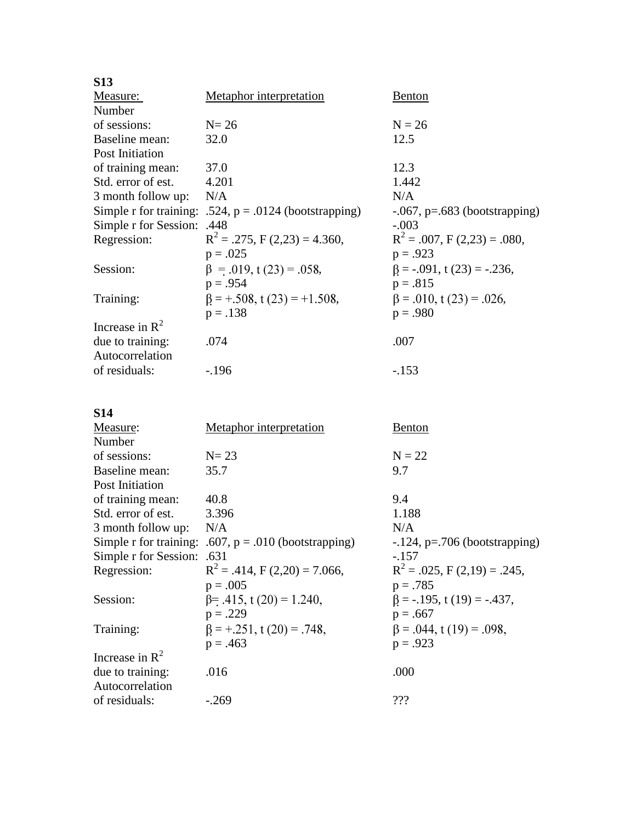| <b>S13</b>                 |                                                          |                                   |
|----------------------------|----------------------------------------------------------|-----------------------------------|
| Measure:                   | Metaphor interpretation                                  | <b>Benton</b>                     |
| Number                     |                                                          |                                   |
| of sessions:               | $N = 26$                                                 | $N = 26$                          |
| Baseline mean:             | 32.0                                                     | 12.5                              |
| Post Initiation            |                                                          |                                   |
| of training mean:          | 37.0                                                     | 12.3                              |
| Std. error of est.         | 4.201                                                    | 1.442                             |
| 3 month follow up:         | N/A                                                      | N/A                               |
|                            | Simple r for training: .524, $p = .0124$ (bootstrapping) | $-0.067$ , p=.683 (bootstrapping) |
| Simple r for Session: .448 |                                                          | $-.003$                           |
| Regression:                | $R^2 = .275$ , F (2,23) = 4.360,                         | $R^2 = .007$ , F (2,23) = .080,   |
|                            | $p = .025$                                               | $p = .923$                        |
| Session:                   | $\beta = .019$ , t (23) = .058,                          | $\beta$ = -.091, t (23) = -.236,  |
|                            | $p = .954$                                               | $p = .815$                        |
| Training:                  | $\beta = +0.508$ , t (23) = +1.508,                      | $\beta = .010$ , t (23) = .026,   |
|                            | $p = .138$                                               | $p = .980$                        |
| Increase in $\mathbb{R}^2$ |                                                          |                                   |
| due to training:           | .074                                                     | .007                              |
| Autocorrelation            |                                                          |                                   |
| of residuals:              | $-.196$                                                  | $-.153$                           |

**S14** 

| Measure:              | <b>Metaphor</b> interpretation                          | Benton                           |
|-----------------------|---------------------------------------------------------|----------------------------------|
| Number                |                                                         |                                  |
| of sessions:          | $N=23$                                                  | $N = 22$                         |
| Baseline mean:        | 35.7                                                    | 9.7                              |
| Post Initiation       |                                                         |                                  |
| of training mean:     | 40.8                                                    | 9.4                              |
| Std. error of est.    | 3.396                                                   | 1.188                            |
| 3 month follow up:    | N/A                                                     | N/A                              |
|                       | Simple r for training: .607, $p = .010$ (bootstrapping) | $-124$ , p=.706 (bootstrapping)  |
| Simple r for Session: | .631                                                    | $-.157$                          |
| Regression:           | $R^2 = .414$ , F (2,20) = 7.066,                        | $R^2 = .025$ , F (2,19) = .245,  |
|                       | $p = .005$                                              | $p = .785$                       |
| Session:              | $\beta$ = .415, t (20) = 1.240,                         | $\beta$ = -.195, t (19) = -.437, |
|                       | $p = .229$                                              | $p = .667$                       |
| Training:             | $\beta = +0.251$ , t (20) = .748,                       | $\beta = .044$ , t (19) = .098,  |
|                       | $p = .463$                                              | $p = .923$                       |
| Increase in $R^2$     |                                                         |                                  |
| due to training:      | .016                                                    | .000                             |
| Autocorrelation       |                                                         |                                  |
| of residuals:         | $-.269$                                                 | ???                              |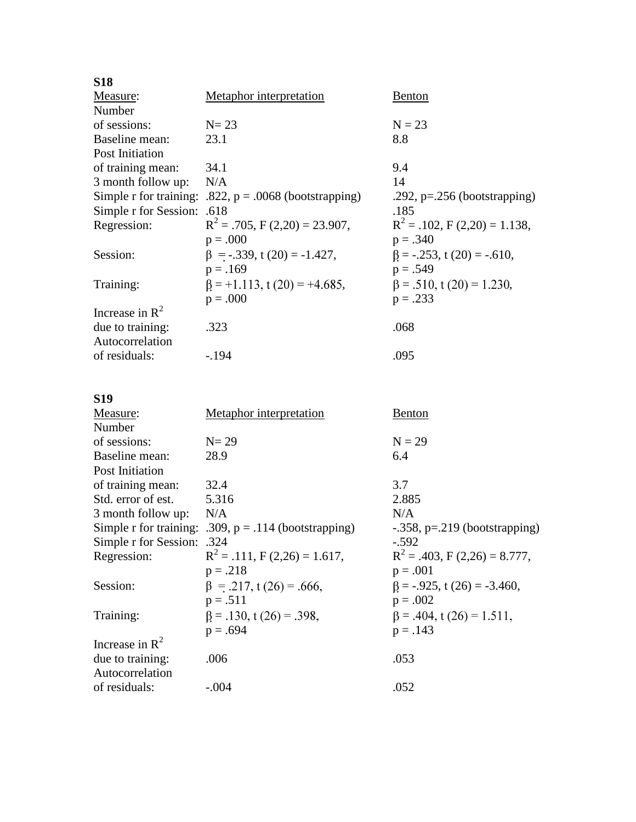| <b>S18</b>                 |                                                          |                                  |
|----------------------------|----------------------------------------------------------|----------------------------------|
| Measure:                   | Metaphor interpretation                                  | <b>Benton</b>                    |
| Number                     |                                                          |                                  |
| of sessions:               | $N=23$                                                   | $N = 23$                         |
| Baseline mean:             | 23.1                                                     | 8.8                              |
| Post Initiation            |                                                          |                                  |
| of training mean:          | 34.1                                                     | 9.4                              |
| 3 month follow up:         | N/A                                                      | 14                               |
|                            | Simple r for training: .822, $p = .0068$ (bootstrapping) | .292, $p=.256$ (bootstrapping)   |
| Simple r for Session: .618 |                                                          | .185                             |
| Regression:                | $R^2$ = .705, F (2,20) = 23.907,                         | $R^2 = .102$ , F (2,20) = 1.138, |
|                            | $p = .000$                                               | $p = .340$                       |
| Session:                   | $\beta$ = -.339, t (20) = -1.427,                        | $\beta$ = -.253, t (20) = -.610, |
|                            | $p = .169$                                               | $p = .549$                       |
| Training:                  | $\beta = +1.113$ , t (20) = +4.685,                      | $\beta = .510$ , t (20) = 1.230, |
|                            | $p = .000$                                               | $p = .233$                       |
| Increase in $R^2$          |                                                          |                                  |
| due to training:           | .323                                                     | .068                             |
| Autocorrelation            |                                                          |                                  |
| of residuals:              | $-.194$                                                  | .095                             |

# **S19**

| Measure:               | <b>Metaphor</b> interpretation   | Benton                                |
|------------------------|----------------------------------|---------------------------------------|
| Number                 |                                  |                                       |
| of sessions:           | $N = 29$                         | $N = 29$                              |
| Baseline mean:         | 28.9                             | 6.4                                   |
| Post Initiation        |                                  |                                       |
| of training mean:      | 32.4                             | 3.7                                   |
| Std. error of est.     | 5.316                            | 2.885                                 |
| 3 month follow up:     | N/A                              | N/A                                   |
| Simple r for training: | .309, $p = .114$ (bootstrapping) | $-0.358$ , p= $0.219$ (bootstrapping) |
| Simple r for Session:  | .324                             | $-.592$                               |
| Regression:            | $R^2 = .111$ , F (2,26) = 1.617, | $R^2 = .403$ , F (2,26) = 8.777,      |
|                        | $p = .218$                       | $p = .001$                            |
| Session:               | $\beta$ = .217, t (26) = .666,   | $\beta$ = -.925, t (26) = -3.460,     |
|                        | $p = .511$                       | $p = .002$                            |
| Training:              | $\beta = .130$ , t (26) = .398,  | $\beta = .404$ , t (26) = 1.511,      |
|                        | $p = .694$                       | $p = .143$                            |
| Increase in $R^2$      |                                  |                                       |
| due to training:       | .006                             | .053                                  |
| Autocorrelation        |                                  |                                       |
| of residuals:          | $-.004$                          | .052                                  |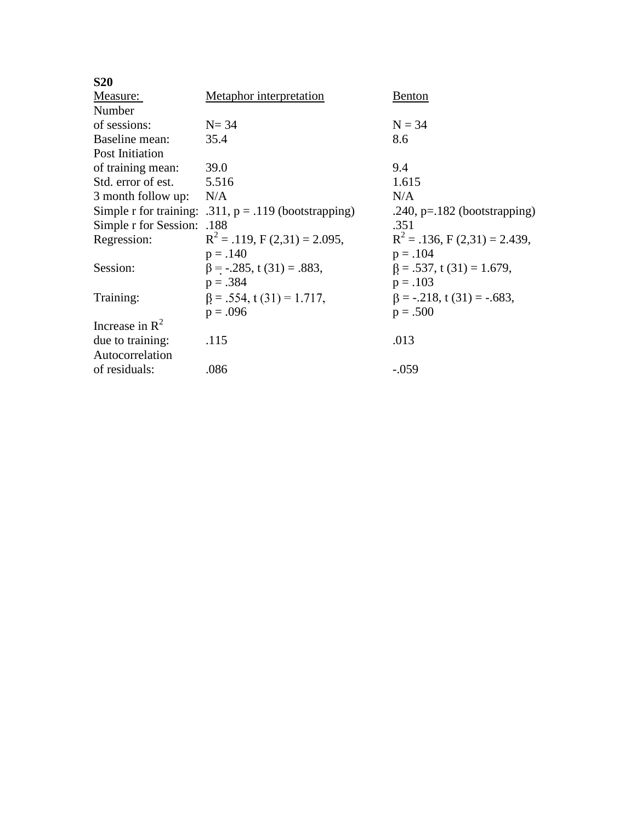| <b>S20</b>                 |                                                         |                                  |
|----------------------------|---------------------------------------------------------|----------------------------------|
| Measure:                   | <b>Metaphor</b> interpretation                          | <b>Benton</b>                    |
| Number                     |                                                         |                                  |
| of sessions:               | $N = 34$                                                | $N = 34$                         |
| Baseline mean:             | 35.4                                                    | 8.6                              |
| Post Initiation            |                                                         |                                  |
| of training mean:          | 39.0                                                    | 9.4                              |
| Std. error of est.         | 5.516                                                   | 1.615                            |
| 3 month follow up:         | N/A                                                     | N/A                              |
|                            | Simple r for training: .311, $p = .119$ (bootstrapping) | .240, $p=182$ (bootstrapping)    |
| Simple r for Session: .188 |                                                         | .351                             |
| Regression:                | $R^2 = .119$ , F (2,31) = 2.095,                        | $R^2 = .136$ , F (2,31) = 2.439, |
|                            | $p = .140$                                              | $p = .104$                       |
| Session:                   | $\beta$ = -.285, t (31) = .883,                         | $\beta = .537$ , t (31) = 1.679, |
|                            | $p = .384$                                              | $p = .103$                       |
| Training:                  | $\beta = .554$ , t (31) = 1.717,                        | $\beta$ = -.218, t (31) = -.683, |
|                            | $p = .096$                                              | $p = .500$                       |
| Increase in $R^2$          |                                                         |                                  |
| due to training:           | .115                                                    | .013                             |
| Autocorrelation            |                                                         |                                  |
| of residuals:              | .086                                                    | $-.059$                          |